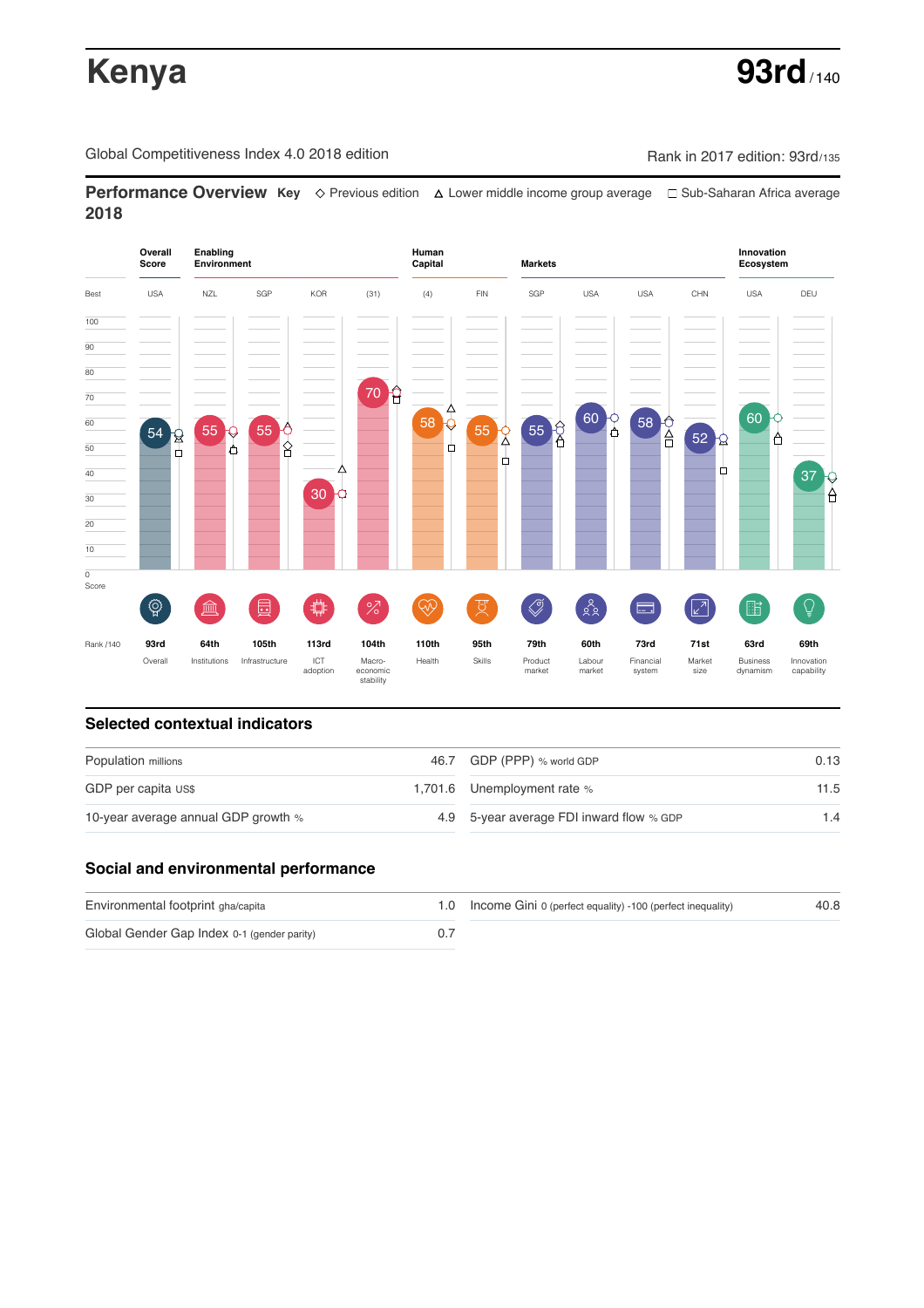# **Kenya 93rd**

Global Competitiveness Index 4.0 2018 edition Company Rank in 2017 edition: 93rd/135

**Performance Overview Key** Previous edition Lower middle income group average Sub-Saharan Africa average **2018**



# **Selected contextual indicators**

| Population millions                 | 46.7 GDP (PPP) % world GDP               | 0.13 |  |
|-------------------------------------|------------------------------------------|------|--|
| GDP per capita US\$                 | 1,701.6 Unemployment rate %              | 11.5 |  |
| 10-year average annual GDP growth % | 4.9 5-year average FDI inward flow % GDP | 1.4  |  |

# **Social and environmental performance**

| Environmental footprint gha/capita          | 1.0 Income Gini 0 (perfect equality) -100 (perfect inequality) | 40.8 |
|---------------------------------------------|----------------------------------------------------------------|------|
| Global Gender Gap Index 0-1 (gender parity) |                                                                |      |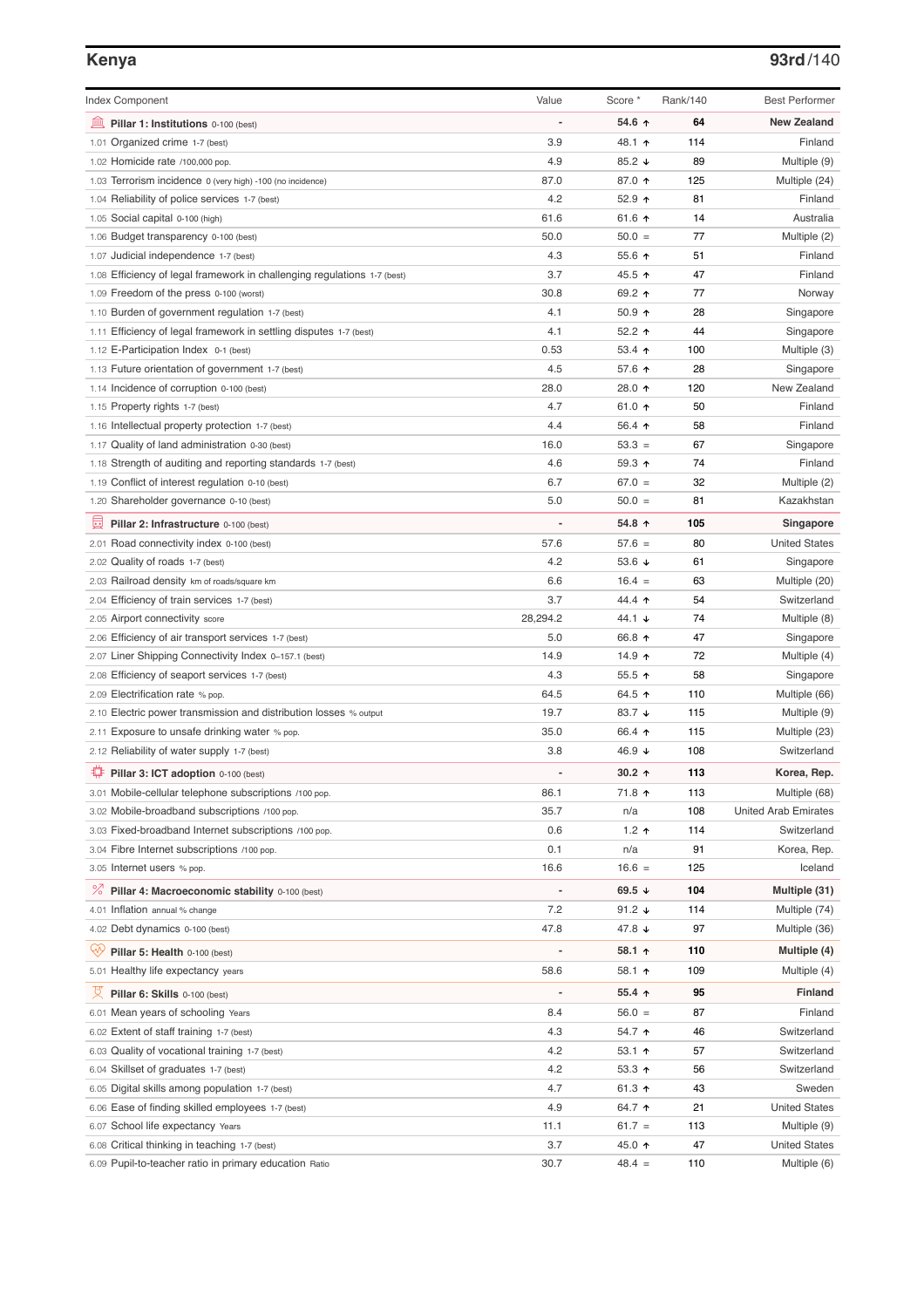## **Kenya 93rd**/140

| <b>Index Component</b>                                                   | Value          | Score *         | Rank/140 | <b>Best Performer</b>       |
|--------------------------------------------------------------------------|----------------|-----------------|----------|-----------------------------|
| 寙<br>Pillar 1: Institutions 0-100 (best)                                 |                | 54.6 ↑          | 64       | <b>New Zealand</b>          |
| 1.01 Organized crime 1-7 (best)                                          | 3.9            | 48.1 ↑          | 114      | Finland                     |
| 1.02 Homicide rate /100,000 pop.                                         | 4.9            | 85.2 ↓          | 89       | Multiple (9)                |
| 1.03 Terrorism incidence 0 (very high) -100 (no incidence)               | 87.0           | 87.0 ↑          | 125      | Multiple (24)               |
| 1.04 Reliability of police services 1-7 (best)                           | 4.2            | 52.9 ↑          | 81       | Finland                     |
| 1.05 Social capital 0-100 (high)                                         | 61.6           | 61.6 ↑          | 14       | Australia                   |
| 1.06 Budget transparency 0-100 (best)                                    | 50.0           | $50.0 =$        | 77       | Multiple (2)                |
| 1.07 Judicial independence 1-7 (best)                                    | 4.3            | 55.6 个          | 51       | Finland                     |
| 1.08 Efficiency of legal framework in challenging regulations 1-7 (best) | 3.7            | 45.5 ↑          | 47       | Finland                     |
| 1.09 Freedom of the press 0-100 (worst)                                  | 30.8           | 69.2 ↑          | 77       | Norway                      |
| 1.10 Burden of government regulation 1-7 (best)                          | 4.1            | 50.9 ↑          | 28       | Singapore                   |
| 1.11 Efficiency of legal framework in settling disputes 1-7 (best)       | 4.1            | 52.2 ↑          | 44       | Singapore                   |
| 1.12 E-Participation Index 0-1 (best)                                    | 0.53           | $53.4$ 1        | 100      | Multiple (3)                |
| 1.13 Future orientation of government 1-7 (best)                         | 4.5            | 57.6 ↑          | 28       | Singapore                   |
| 1.14 Incidence of corruption 0-100 (best)                                | 28.0           | 28.0 ↑          | 120      | New Zealand                 |
| 1.15 Property rights 1-7 (best)                                          | 4.7            | 61.0 ↑          | 50       | Finland                     |
| 1.16 Intellectual property protection 1-7 (best)                         | 4.4            | 56.4 ↑          | 58       | Finland                     |
| 1.17 Quality of land administration 0-30 (best)                          | 16.0           | $53.3 =$        | 67       | Singapore                   |
| 1.18 Strength of auditing and reporting standards 1-7 (best)             | 4.6            | 59.3 ↑          | 74       | Finland                     |
| 1.19 Conflict of interest regulation 0-10 (best)                         | 6.7            | $67.0 =$        | 32       | Multiple (2)                |
| 1.20 Shareholder governance 0-10 (best)                                  | 5.0            | $50.0 =$        | 81       | Kazakhstan                  |
| 員<br>Pillar 2: Infrastructure 0-100 (best)                               |                | 54.8 ↑          | 105      | Singapore                   |
| 2.01 Road connectivity index 0-100 (best)                                | 57.6           | $57.6 =$        | 80       | <b>United States</b>        |
| 2.02 Quality of roads 1-7 (best)                                         | 4.2            | 53.6 $\sqrt{ }$ | 61       | Singapore                   |
| 2.03 Railroad density km of roads/square km                              | 6.6            | $16.4 =$        | 63       | Multiple (20)               |
| 2.04 Efficiency of train services 1-7 (best)                             | 3.7            | 44.4 ተ          | 54       | Switzerland                 |
| 2.05 Airport connectivity score                                          | 28,294.2       | 44.1 ↓          | 74       | Multiple (8)                |
| 2.06 Efficiency of air transport services 1-7 (best)                     | 5.0            | 66.8 ↑          | 47       | Singapore                   |
| 2.07 Liner Shipping Connectivity Index 0-157.1 (best)                    | 14.9           | 14.9 $\uparrow$ | 72       | Multiple (4)                |
| 2.08 Efficiency of seaport services 1-7 (best)                           | 4.3            | 55.5 ↑          | 58       | Singapore                   |
| 2.09 Electrification rate % pop.                                         | 64.5           | 64.5 ↑          | 110      | Multiple (66)               |
| 2.10 Electric power transmission and distribution losses % output        | 19.7           | 83.7 ↓          | 115      | Multiple (9)                |
| 2.11 Exposure to unsafe drinking water % pop.                            | 35.0           | 66.4 ↑          | 115      | Multiple (23)               |
| 2.12 Reliability of water supply 1-7 (best)                              | 3.8            | 46.9 ↓          | 108      | Switzerland                 |
| O<br>Pillar 3: ICT adoption 0-100 (best)                                 |                | $30.2$ 1        | 113      | Korea, Rep.                 |
| 3.01 Mobile-cellular telephone subscriptions /100 pop.                   | 86.1           | 71.8 ተ          | 113      | Multiple (68)               |
| 3.02 Mobile-broadband subscriptions /100 pop.                            | 35.7           | n/a             | 108      | <b>United Arab Emirates</b> |
| 3.03 Fixed-broadband Internet subscriptions /100 pop.                    | 0.6            | 1.2 $\uparrow$  | 114      | Switzerland                 |
| 3.04 Fibre Internet subscriptions /100 pop.                              | 0.1            | n/a             | 91       | Korea, Rep.                 |
| 3.05 Internet users % pop.                                               | 16.6           | $16.6 =$        | 125      | Iceland                     |
| ℅<br>Pillar 4: Macroeconomic stability 0-100 (best)                      | $\overline{a}$ | 69.5 $\sqrt{ }$ | 104      | Multiple (31)               |
| 4.01 Inflation annual % change                                           | 7.2            | 91.2 $\sqrt{ }$ | 114      | Multiple (74)               |
| 4.02 Debt dynamics 0-100 (best)                                          | 47.8           | 47.8 ↓          | 97       | Multiple (36)               |
| Qv<br>Pillar 5: Health 0-100 (best)                                      | ÷              | 58.1 ↑          | 110      | Multiple (4)                |
| 5.01 Healthy life expectancy years                                       | 58.6           | 58.1 ↑          | 109      | Multiple (4)                |
|                                                                          | $\overline{a}$ |                 |          |                             |
| 섯<br>Pillar 6: Skills 0-100 (best)                                       |                | 55.4 ↑          | 95       | Finland                     |
| 6.01 Mean years of schooling Years                                       | 8.4            | $56.0 =$        | 87       | Finland                     |
| 6.02 Extent of staff training 1-7 (best)                                 | 4.3            | 54.7 ↑          | 46       | Switzerland                 |
| 6.03 Quality of vocational training 1-7 (best)                           | 4.2            | 53.1 ↑          | 57       | Switzerland                 |
| 6.04 Skillset of graduates 1-7 (best)                                    | 4.2            | 53.3 ↑          | 56       | Switzerland                 |
| 6.05 Digital skills among population 1-7 (best)                          | 4.7            | 61.3 ↑          | 43       | Sweden                      |
| 6.06 Ease of finding skilled employees 1-7 (best)                        | 4.9            | 64.7 ተ          | 21       | <b>United States</b>        |
| 6.07 School life expectancy Years                                        | 11.1           | $61.7 =$        | 113      | Multiple (9)                |
| 6.08 Critical thinking in teaching 1-7 (best)                            | 3.7            | 45.0 ↑          | 47       | United States               |
| 6.09 Pupil-to-teacher ratio in primary education Ratio                   | 30.7           | $48.4 =$        | 110      | Multiple (6)                |